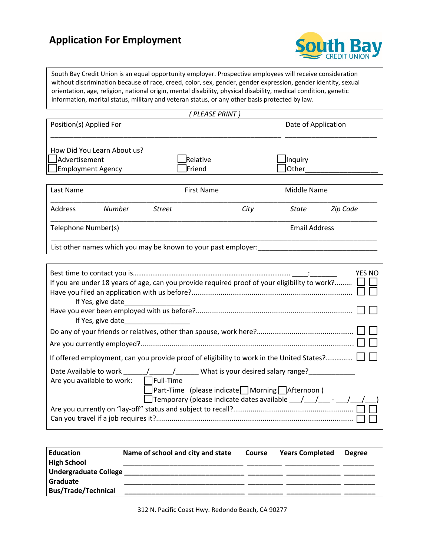## **Application For Employment**



South Bay Credit Union is an equal opportunity employer. Prospective employees will receive consideration without discrimination because of race, creed, color, sex, gender, gender expression, gender identity, sexual orientation, age, religion, national origin, mental disability, physical disability, medical condition, genetic information, marital status, military and veteran status, or any other basis protected by law.

| (PLEASE PRINT) |  |
|----------------|--|
|                |  |

| Position(s) Applied For                                                  |                    | Date of Application              |  |
|--------------------------------------------------------------------------|--------------------|----------------------------------|--|
| How Did You Learn About us?<br>Advertisement<br>$\Box$ Employment Agency | Relative<br>Friend | <b>Inquiry</b><br><b>l</b> Other |  |
|                                                                          |                    |                                  |  |
| Last Name                                                                | First Name         | Middle Name                      |  |

| Zip Code      |  |  |
|---------------|--|--|
| Email Address |  |  |
|               |  |  |

List other names which you may be known to your past employer:

| <b>YES NO</b><br>If you are under 18 years of age, can you provide required proof of your eligibility to work? $\Box$ $\Box$   |
|--------------------------------------------------------------------------------------------------------------------------------|
| If Yes, give date                                                                                                              |
|                                                                                                                                |
| If Yes, give date                                                                                                              |
|                                                                                                                                |
|                                                                                                                                |
| If offered employment, can you provide proof of eligibility to work in the United States? L                                    |
| Date Available to work and the state of the Muhat is your desired salary range?<br>Are you available to work: $\Box$ Full-Time |
| $\lceil$ Part-Time (please indicate $\lceil$ Morning $\lceil$ Afternoon)                                                       |
| Temporary (please indicate dates available $\_\,\_\,\_\,\_\,\_\,\_\,\_\,\_\,\_\,\_\,\_\,\_\,\_\,\_\,\_\,\_\,\_\,\_$            |
|                                                                                                                                |
|                                                                                                                                |

| <b>Education</b><br><b>High School</b> | Name of school and city and state | Course | <b>Years Completed</b> | <b>Degree</b> |
|----------------------------------------|-----------------------------------|--------|------------------------|---------------|
| <b>Undergraduate College</b>           |                                   |        |                        |               |
| Graduate                               |                                   |        |                        |               |
| <b>Bus/Trade/Technical</b>             |                                   |        |                        |               |

312 N. Pacific Coast Hwy. Redondo Beach, CA 90277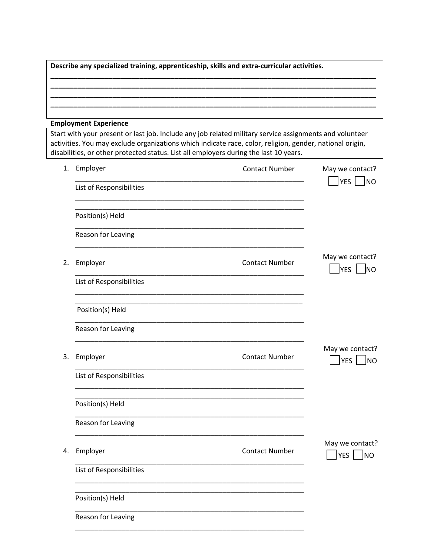| Describe any specialized training, apprenticeship, skills and extra-curricular activities. |  |  |  |  |  |
|--------------------------------------------------------------------------------------------|--|--|--|--|--|
|                                                                                            |  |  |  |  |  |
|                                                                                            |  |  |  |  |  |
|                                                                                            |  |  |  |  |  |
| <b>Employment Experience</b>                                                               |  |  |  |  |  |

Start with your present or last job. Include any job related military service assignments and volunteer activities. You may exclude organizations which indicate race, color, religion, gender, national origin, disabilities, or other protected status. List all employers during the last 10 years.

| 1. | Employer                 | <b>Contact Number</b> | May we contact?                                  |
|----|--------------------------|-----------------------|--------------------------------------------------|
|    | List of Responsibilities |                       | $YES$   NO                                       |
|    | Position(s) Held         |                       |                                                  |
|    | Reason for Leaving       |                       |                                                  |
| 2. | Employer                 | <b>Contact Number</b> | May we contact?<br>$YES$ NO                      |
|    | List of Responsibilities |                       |                                                  |
|    | Position(s) Held         |                       |                                                  |
|    | Reason for Leaving       |                       |                                                  |
| 3. | Employer                 | <b>Contact Number</b> | May we contact?<br><b>YES</b><br><b>J</b> NO     |
|    | List of Responsibilities |                       |                                                  |
|    | Position(s) Held         |                       |                                                  |
|    | Reason for Leaving       |                       |                                                  |
| 4. | Employer                 | <b>Contact Number</b> | May we contact?<br>YES<br>$\overline{\text{NO}}$ |
|    | List of Responsibilities |                       |                                                  |
|    | Position(s) Held         |                       |                                                  |
|    | Reason for Leaving       |                       |                                                  |